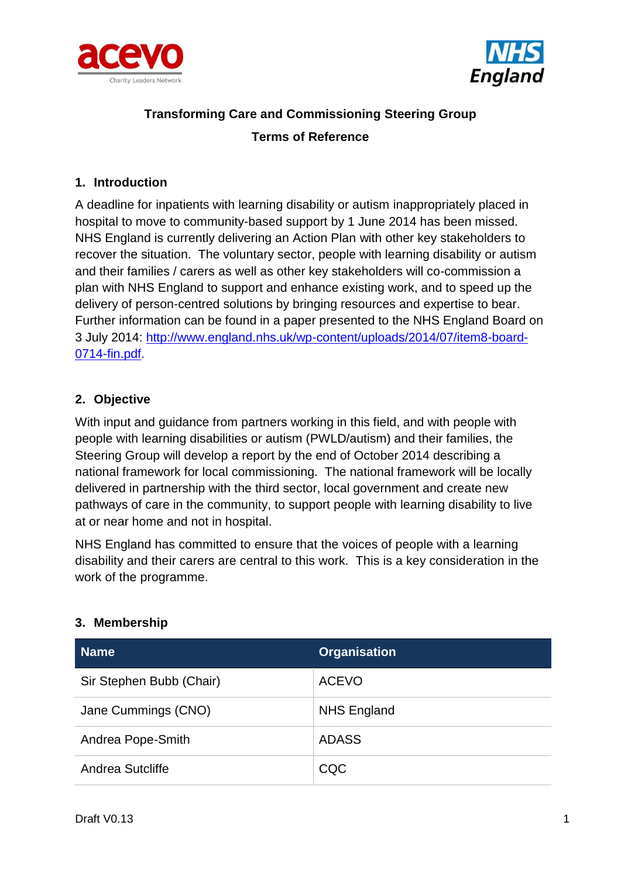



# **Transforming Care and Commissioning Steering Group Terms of Reference**

# **1. Introduction**

A deadline for inpatients with learning disability or autism inappropriately placed in hospital to move to community-based support by 1 June 2014 has been missed. NHS England is currently delivering an Action Plan with other key stakeholders to recover the situation. The voluntary sector, people with learning disability or autism and their families / carers as well as other key stakeholders will co-commission a plan with NHS England to support and enhance existing work, and to speed up the delivery of person-centred solutions by bringing resources and expertise to bear. Further information can be found in a paper presented to the NHS England Board on 3 July 2014: [http://www.england.nhs.uk/wp-content/uploads/2014/07/item8-board-](http://www.england.nhs.uk/wp-content/uploads/2014/07/item8-board-0714-fin.pdf)[0714-fin.pdf.](http://www.england.nhs.uk/wp-content/uploads/2014/07/item8-board-0714-fin.pdf)

# **2. Objective**

With input and guidance from partners working in this field, and with people with people with learning disabilities or autism (PWLD/autism) and their families, the Steering Group will develop a report by the end of October 2014 describing a national framework for local commissioning. The national framework will be locally delivered in partnership with the third sector, local government and create new pathways of care in the community, to support people with learning disability to live at or near home and not in hospital.

NHS England has committed to ensure that the voices of people with a learning disability and their carers are central to this work. This is a key consideration in the work of the programme.

| <b>Name</b>              | <b>Organisation</b> |
|--------------------------|---------------------|
| Sir Stephen Bubb (Chair) | <b>ACEVO</b>        |
| Jane Cummings (CNO)      | <b>NHS England</b>  |
| Andrea Pope-Smith        | <b>ADASS</b>        |
| Andrea Sutcliffe         | CQC                 |

# **3. Membership**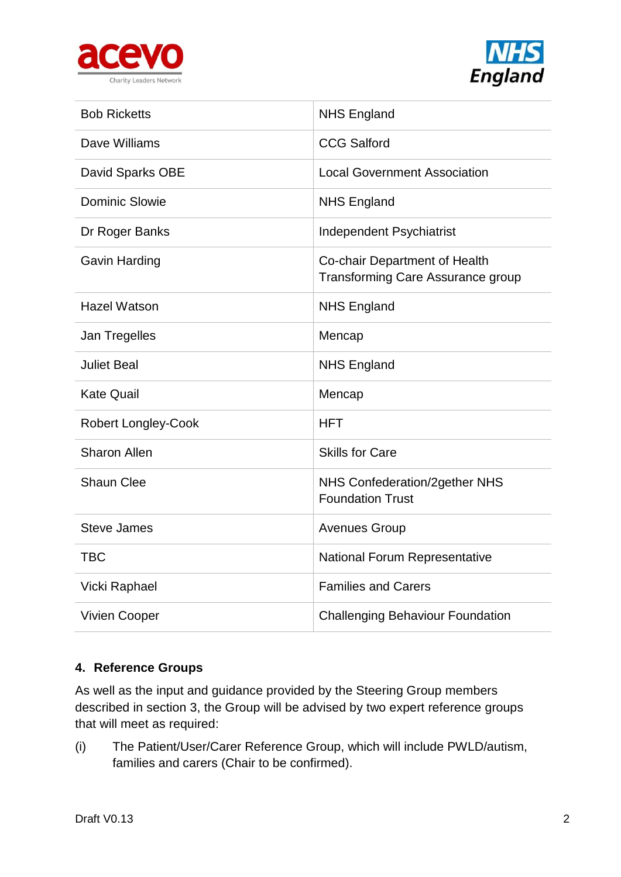



| <b>Bob Ricketts</b>        | <b>NHS England</b>                                                        |
|----------------------------|---------------------------------------------------------------------------|
| Dave Williams              | <b>CCG Salford</b>                                                        |
| David Sparks OBE           | <b>Local Government Association</b>                                       |
| Dominic Slowie             | <b>NHS England</b>                                                        |
| Dr Roger Banks             | Independent Psychiatrist                                                  |
| <b>Gavin Harding</b>       | Co-chair Department of Health<br><b>Transforming Care Assurance group</b> |
| <b>Hazel Watson</b>        | <b>NHS England</b>                                                        |
| Jan Tregelles              | Mencap                                                                    |
| <b>Juliet Beal</b>         | <b>NHS England</b>                                                        |
| <b>Kate Quail</b>          | Mencap                                                                    |
| <b>Robert Longley-Cook</b> | <b>HFT</b>                                                                |
| <b>Sharon Allen</b>        | <b>Skills for Care</b>                                                    |
| <b>Shaun Clee</b>          | NHS Confederation/2gether NHS<br><b>Foundation Trust</b>                  |
| <b>Steve James</b>         | <b>Avenues Group</b>                                                      |
| <b>TBC</b>                 | <b>National Forum Representative</b>                                      |
| Vicki Raphael              | <b>Families and Carers</b>                                                |
| <b>Vivien Cooper</b>       | <b>Challenging Behaviour Foundation</b>                                   |

# **4. Reference Groups**

As well as the input and guidance provided by the Steering Group members described in section 3, the Group will be advised by two expert reference groups that will meet as required:

(i) The Patient/User/Carer Reference Group, which will include PWLD/autism, families and carers (Chair to be confirmed).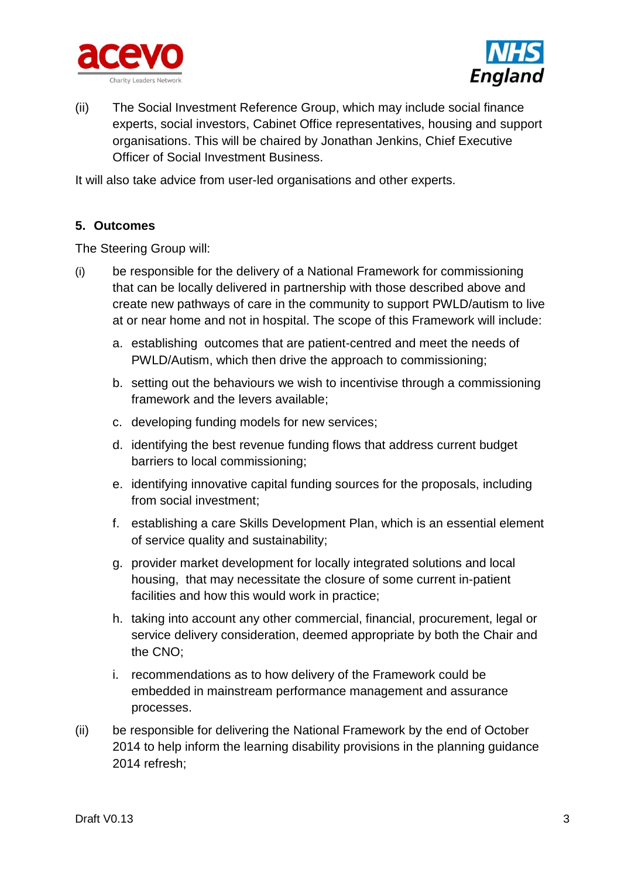



(ii) The Social Investment Reference Group, which may include social finance experts, social investors, Cabinet Office representatives, housing and support organisations. This will be chaired by Jonathan Jenkins, Chief Executive Officer of Social Investment Business.

It will also take advice from user-led organisations and other experts.

# **5. Outcomes**

The Steering Group will:

- (i) be responsible for the delivery of a National Framework for commissioning that can be locally delivered in partnership with those described above and create new pathways of care in the community to support PWLD/autism to live at or near home and not in hospital. The scope of this Framework will include:
	- a. establishing outcomes that are patient-centred and meet the needs of PWLD/Autism, which then drive the approach to commissioning;
	- b. setting out the behaviours we wish to incentivise through a commissioning framework and the levers available;
	- c. developing funding models for new services;
	- d. identifying the best revenue funding flows that address current budget barriers to local commissioning;
	- e. identifying innovative capital funding sources for the proposals, including from social investment;
	- f. establishing a care Skills Development Plan, which is an essential element of service quality and sustainability;
	- g. provider market development for locally integrated solutions and local housing, that may necessitate the closure of some current in-patient facilities and how this would work in practice;
	- h. taking into account any other commercial, financial, procurement, legal or service delivery consideration, deemed appropriate by both the Chair and the CNO;
	- i. recommendations as to how delivery of the Framework could be embedded in mainstream performance management and assurance processes.
- (ii) be responsible for delivering the National Framework by the end of October 2014 to help inform the learning disability provisions in the planning guidance 2014 refresh;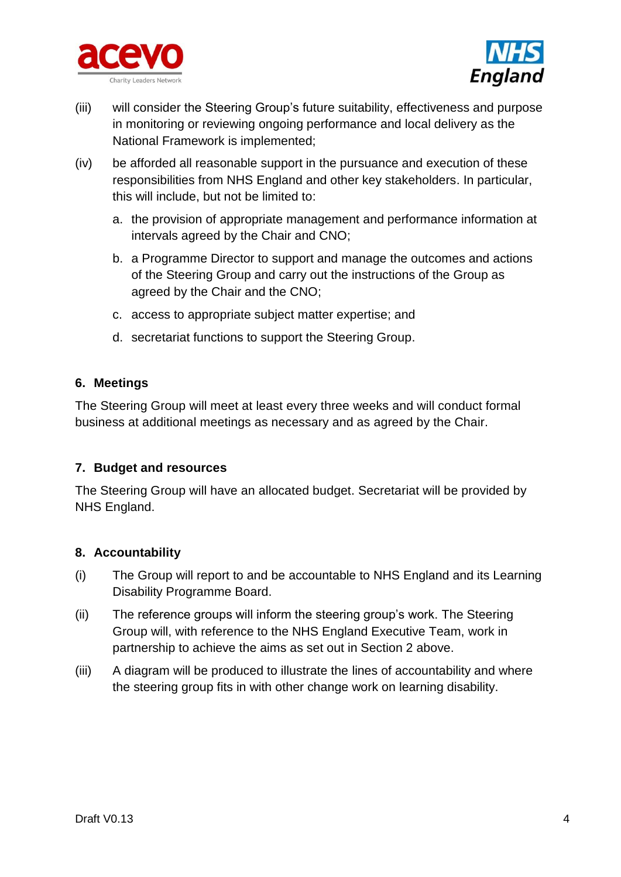



- (iii) will consider the Steering Group's future suitability, effectiveness and purpose in monitoring or reviewing ongoing performance and local delivery as the National Framework is implemented;
- (iv) be afforded all reasonable support in the pursuance and execution of these responsibilities from NHS England and other key stakeholders. In particular, this will include, but not be limited to:
	- a. the provision of appropriate management and performance information at intervals agreed by the Chair and CNO;
	- b. a Programme Director to support and manage the outcomes and actions of the Steering Group and carry out the instructions of the Group as agreed by the Chair and the CNO;
	- c. access to appropriate subject matter expertise; and
	- d. secretariat functions to support the Steering Group.

#### **6. Meetings**

The Steering Group will meet at least every three weeks and will conduct formal business at additional meetings as necessary and as agreed by the Chair.

# **7. Budget and resources**

The Steering Group will have an allocated budget. Secretariat will be provided by NHS England.

#### **8. Accountability**

- (i) The Group will report to and be accountable to NHS England and its Learning Disability Programme Board.
- (ii) The reference groups will inform the steering group's work. The Steering Group will, with reference to the NHS England Executive Team, work in partnership to achieve the aims as set out in Section 2 above.
- (iii) A diagram will be produced to illustrate the lines of accountability and where the steering group fits in with other change work on learning disability.